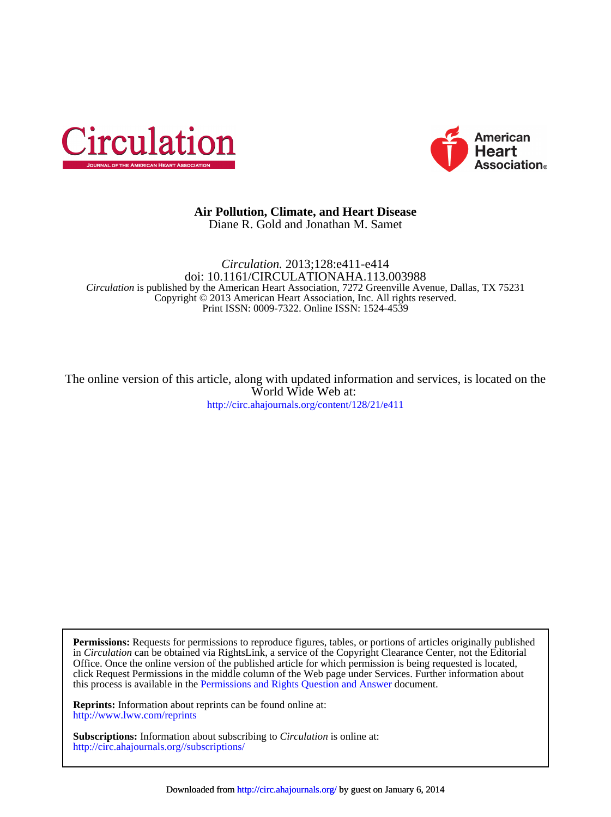



## Diane R. Gold and Jonathan M. Samet **Air Pollution, Climate, and Heart Disease**

Print ISSN: 0009-7322. Online ISSN: 1524-4539 Copyright © 2013 American Heart Association, Inc. All rights reserved. *Circulation* is published by the American Heart Association, 7272 Greenville Avenue, Dallas, TX 75231 doi: 10.1161/CIRCULATIONAHA.113.003988 *Circulation.* 2013;128:e411-e414

<http://circ.ahajournals.org/content/128/21/e411> World Wide Web at: The online version of this article, along with updated information and services, is located on the

this process is available in the [Permissions and Rights Question and Answer d](http://www.ahajournals.org/site/rights/)ocument. click Request Permissions in the middle column of the Web page under Services. Further information about Office. Once the online version of the published article for which permission is being requested is located, in *Circulation* can be obtained via RightsLink, a service of the Copyright Clearance Center, not the Editorial **Permissions:** Requests for permissions to reproduce figures, tables, or portions of articles originally published

<http://www.lww.com/reprints> **Reprints:** Information about reprints can be found online at:

<http://circ.ahajournals.org//subscriptions/> **Subscriptions:** Information about subscribing to *Circulation* is online at: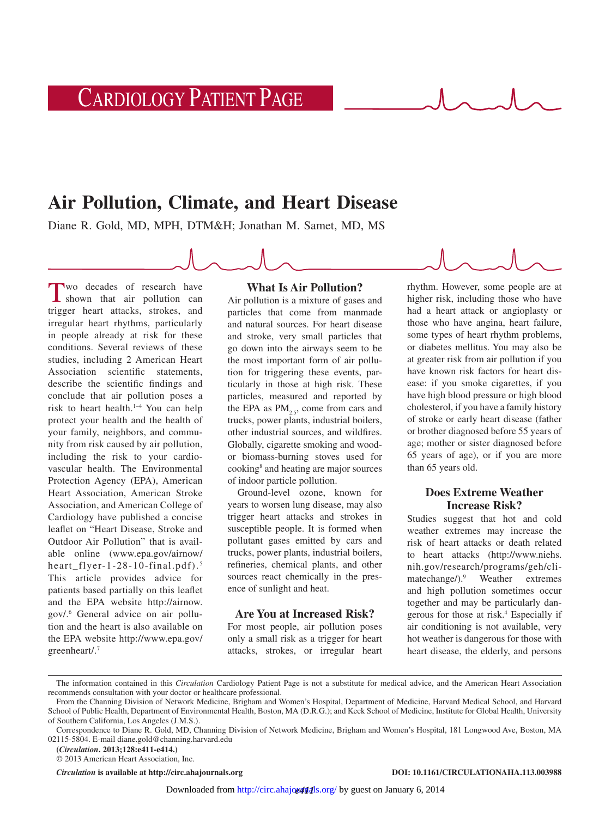CARDIOLOGY PATIENT PAGE

# **Air Pollution, Climate, and Heart Disease**

Diane R. Gold, MD, MPH, DTM&H; Jonathan M. Samet, MD, MS

Two decades of research have shown that air pollution can trigger heart attacks, strokes, and irregular heart rhythms, particularly in people already at risk for these conditions. Several reviews of these studies, including 2 American Heart Association scientific statements, describe the scientific findings and conclude that air pollution poses a risk to heart health.1–4 You can help protect your health and the health of your family, neighbors, and community from risk caused by air pollution, including the risk to your cardiovascular health. The Environmental Protection Agency (EPA), American Heart Association, American Stroke Association, and American College of Cardiology have published a concise leaflet on "Heart Disease, Stroke and Outdoor Air Pollution" that is available online ([www.epa.gov/airnow/](www.epa.gov/airnow/heart_flyer-1-28-10-final.pdf) [heart\\_flyer-1-28-10-final.pdf\)](www.epa.gov/airnow/heart_flyer-1-28-10-final.pdf). <sup>5</sup> This article provides advice for patients based partially on this leaflet and the EPA website [http://airnow.](http://airnow.gov/) [gov/](http://airnow.gov/).6 General advice on air pollution and the heart is also available on the EPA website [http://www.epa.gov/](http://www.epa.gov/greenheart/) [greenheart/](http://www.epa.gov/greenheart/).7

# **What Is Air Pollution?**

Air pollution is a mixture of gases and particles that come from manmade and natural sources. For heart disease and stroke, very small particles that go down into the airways seem to be the most important form of air pollution for triggering these events, particularly in those at high risk. These particles, measured and reported by the EPA as  $PM_{2.5}$ , come from cars and trucks, power plants, industrial boilers, other industrial sources, and wildfires. Globally, cigarette smoking and woodor biomass-burning stoves used for cooking8 and heating are major sources of indoor particle pollution.

Ground-level ozone, known for years to worsen lung disease, may also trigger heart attacks and strokes in susceptible people. It is formed when pollutant gases emitted by cars and trucks, power plants, industrial boilers, refineries, chemical plants, and other sources react chemically in the presence of sunlight and heat.

# **Are You at Increased Risk?**

For most people, air pollution poses only a small risk as a trigger for heart attacks, strokes, or irregular heart

rhythm. However, some people are at higher risk, including those who have had a heart attack or angioplasty or those who have angina, heart failure, some types of heart rhythm problems, or diabetes mellitus. You may also be at greater risk from air pollution if you have known risk factors for heart disease: if you smoke cigarettes, if you have high blood pressure or high blood cholesterol, if you have a family history of stroke or early heart disease (father or brother diagnosed before 55 years of age; mother or sister diagnosed before 65 years of age), or if you are more than 65 years old.

# **Does Extreme Weather Increase Risk?**

Studies suggest that hot and cold weather extremes may increase the risk of heart attacks or death related to heart attacks ([http://www.niehs.](http://www.niehs.nih.gov/research/programs/geh/climatechange/) [nih.gov/research/programs/geh/cli](http://www.niehs.nih.gov/research/programs/geh/climatechange/)[matechange/](http://www.niehs.nih.gov/research/programs/geh/climatechange/)).9 Weather extremes and high pollution sometimes occur together and may be particularly dangerous for those at risk.4 Especially if air conditioning is not available, very hot weather is dangerous for those with heart disease, the elderly, and persons

**(***Circulation***. 2013;128:e411-e414.)**

© 2013 American Heart Association, Inc.

The information contained in this *Circulation* Cardiology Patient Page is not a substitute for medical advice, and the American Heart Association recommends consultation with your doctor or healthcare professional.

From the Channing Division of Network Medicine, Brigham and Women's Hospital, Department of Medicine, Harvard Medical School, and Harvard School of Public Health, Department of Environmental Health, Boston, MA (D.R.G.); and Keck School of Medicine, Institute for Global Health, University of Southern California, Los Angeles (J.M.S.).

Correspondence to Diane R. Gold, MD, Channing Division of Network Medicine, Brigham and Women's Hospital, 181 Longwood Ave, Boston, MA 02115-5804. E-mail [diane.gold@channing.harvard.edu](mailto:diane.gold@channing.harvard.edu)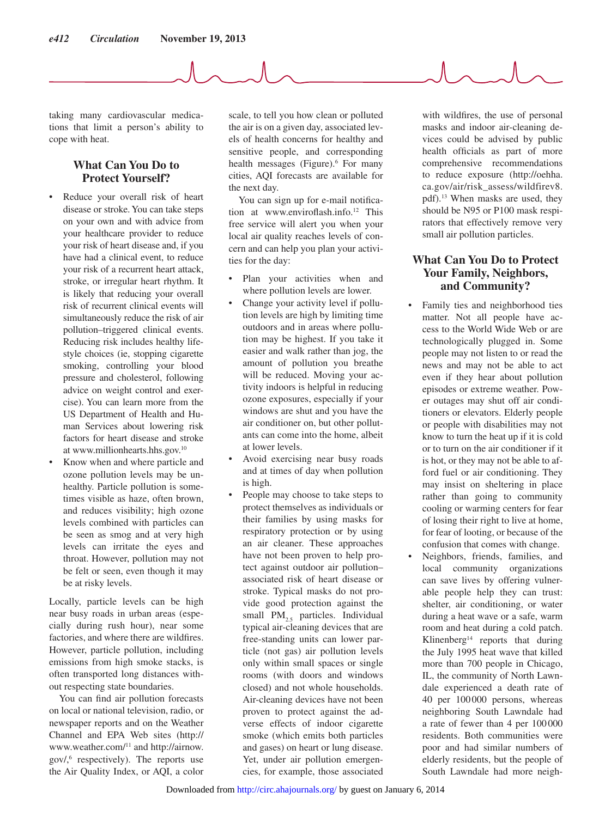taking many cardiovascular medications that limit a person's ability to cope with heat.

# **What Can You Do to Protect Yourself?**

- Reduce your overall risk of heart disease or stroke. You can take steps on your own and with advice from your healthcare provider to reduce your risk of heart disease and, if you have had a clinical event, to reduce your risk of a recurrent heart attack, stroke, or irregular heart rhythm. It is likely that reducing your overall risk of recurrent clinical events will simultaneously reduce the risk of air pollution–triggered clinical events. Reducing risk includes healthy lifestyle choices (ie, stopping cigarette smoking, controlling your blood pressure and cholesterol, following advice on weight control and exercise). You can learn more from the US Department of Health and Human Services about lowering risk factors for heart disease and stroke at [www.millionhearts.hhs.gov.](www.millionhearts.hhs.gov)10
- Know when and where particle and ozone pollution levels may be unhealthy. Particle pollution is sometimes visible as haze, often brown, and reduces visibility; high ozone levels combined with particles can be seen as smog and at very high levels can irritate the eyes and throat. However, pollution may not be felt or seen, even though it may be at risky levels.

Locally, particle levels can be high near busy roads in urban areas (especially during rush hour), near some factories, and where there are wildfires. However, particle pollution, including emissions from high smoke stacks, is often transported long distances without respecting state boundaries.

You can find air pollution forecasts on local or national television, radio, or newspaper reports and on the Weather Channel and EPA Web sites [\(http://](http://www.weather.com/) [www.weather.com/](http://www.weather.com/)11 and [http://airnow.](http://airnow.gov/) [gov/,](http://airnow.gov/)6 respectively). The reports use the Air Quality Index, or AQI, a color

scale, to tell you how clean or polluted the air is on a given day, associated levels of health concerns for healthy and sensitive people, and corresponding health messages (Figure).<sup>6</sup> For many cities, AQI forecasts are available for the next day.

You can sign up for e-mail notification at [www.enviroflash.info.](www.enviroflash.info)12 This free service will alert you when your local air quality reaches levels of concern and can help you plan your activities for the day:

- Plan your activities when and where pollution levels are lower.
- Change your activity level if pollution levels are high by limiting time outdoors and in areas where pollution may be highest. If you take it easier and walk rather than jog, the amount of pollution you breathe will be reduced. Moving your activity indoors is helpful in reducing ozone exposures, especially if your windows are shut and you have the air conditioner on, but other pollutants can come into the home, albeit at lower levels.
- Avoid exercising near busy roads and at times of day when pollution is high.
- People may choose to take steps to protect themselves as individuals or their families by using masks for respiratory protection or by using an air cleaner. These approaches have not been proven to help protect against outdoor air pollution– associated risk of heart disease or stroke. Typical masks do not provide good protection against the small  $PM_{2.5}$  particles. Individual typical air-cleaning devices that are free-standing units can lower particle (not gas) air pollution levels only within small spaces or single rooms (with doors and windows closed) and not whole households. Air-cleaning devices have not been proven to protect against the adverse effects of indoor cigarette smoke (which emits both particles and gases) on heart or lung disease. Yet, under air [pollution emergen](http://circ.ahajournals.org/)cies, for example, those associated

with wildfires, the use of personal masks and indoor air-cleaning devices could be advised by public health officials as part of more comprehensive recommendations to reduce exposure [\(http://oehha.](http://oehha.ca.gov/air/risk_assess/wildfirev8.pdf) [ca.gov/air/risk\\_assess/wildfirev8.](http://oehha.ca.gov/air/risk_assess/wildfirev8.pdf) [pdf](http://oehha.ca.gov/air/risk_assess/wildfirev8.pdf)).13 When masks are used, they should be N95 or P100 mask respirators that effectively remove very small air pollution particles.

# **What Can You Do to Protect Your Family, Neighbors, and Community?**

- Family ties and neighborhood ties matter. Not all people have access to the World Wide Web or are technologically plugged in. Some people may not listen to or read the news and may not be able to act even if they hear about pollution episodes or extreme weather. Power outages may shut off air conditioners or elevators. Elderly people or people with disabilities may not know to turn the heat up if it is cold or to turn on the air conditioner if it is hot, or they may not be able to afford fuel or air conditioning. They may insist on sheltering in place rather than going to community cooling or warming centers for fear of losing their right to live at home, for fear of looting, or because of the confusion that comes with change.
- Neighbors, friends, families, and local community organizations can save lives by offering vulnerable people help they can trust: shelter, air conditioning, or water during a heat wave or a safe, warm room and heat during a cold patch. Klinenberg<sup>14</sup> reports that during the July 1995 heat wave that killed more than 700 people in Chicago, IL, the community of North Lawndale experienced a death rate of 40 per 100000 persons, whereas neighboring South Lawndale had a rate of fewer than 4 per 100 000 residents. Both communities were poor and had similar numbers of elderly residents, but the people of South Lawndale had more neigh-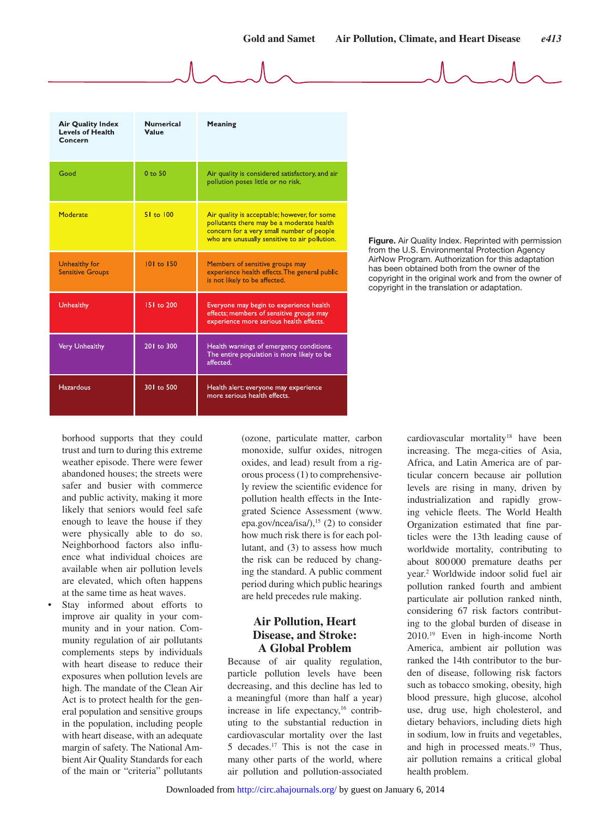| <b>Air Quality Index</b><br><b>Levels of Health</b><br>Concern | <b>Numerical</b><br>Value | Meaning                                                                                                                                                                                 |
|----------------------------------------------------------------|---------------------------|-----------------------------------------------------------------------------------------------------------------------------------------------------------------------------------------|
| Good                                                           | $0$ to $50$               | Air quality is considered satisfactory, and air<br>pollution poses little or no risk.                                                                                                   |
| Moderate                                                       | 51 to 100                 | Air quality is acceptable; however, for some<br>pollutants there may be a moderate health<br>concern for a very small number of people<br>who are unusually sensitive to air pollution. |
| Unhealthy for<br><b>Sensitive Groups</b>                       | 101 to 150                | Members of sensitive groups may<br>experience health effects. The general public<br>is not likely to be affected.                                                                       |
| Unhealthy                                                      | 151 to 200                | Everyone may begin to experience health<br>effects; members of sensitive groups may<br>experience more serious health effects.                                                          |
| Very Unhealthy                                                 | 201 to 300                | Health warnings of emergency conditions.<br>The entire population is more likely to be<br>affected.                                                                                     |
| <b>Hazardous</b>                                               | 301 to 500                | Health alert: everyone may experience<br>more serious health effects.                                                                                                                   |

**Figure.** Air Quality Index. Reprinted with permission from the U.S. Environmental Protection Agency AirNow Program. Authorization for this adaptation has been obtained both from the owner of the copyright in the original work and from the owner of copyright in the translation or adaptation.

borhood supports that they could trust and turn to during this extreme weather episode. There were fewer abandoned houses; the streets were safer and busier with commerce and public activity, making it more likely that seniors would feel safe enough to leave the house if they were physically able to do so. Neighborhood factors also influence what individual choices are available when air pollution levels are elevated, which often happens at the same time as heat waves.

Stay informed about efforts to improve air quality in your community and in your nation. Community regulation of air pollutants complements steps by individuals with heart disease to reduce their exposures when pollution levels are high. The mandate of the Clean Air Act is to protect health for the general population and sensitive groups in the population, including people with heart disease, with an adequate margin of safety. The National Ambient Air Quality Standards for each of the main or "criteria" pollutants

(ozone, particulate matter, carbon monoxide, sulfur oxides, nitrogen oxides, and lead) result from a rigorous process (1) to comprehensively review the scientific evidence for pollution health effects in the Integrated Science Assessment ([www.](www.epa.gov/ncea/isa/) [epa.gov/ncea/isa/](www.epa.gov/ncea/isa/)),<sup>15</sup> (2) to consider how much risk there is for each pollutant, and (3) to assess how much the risk can be reduced by changing the standard. A public comment period during which public hearings are held precedes rule making.

# **Air Pollution, Heart Disease, and Stroke: A Global Problem**

Because of air quality regulation, particle pollution levels have been decreasing, and this decline has led to a meaningful (more than half a year) increase in life expectancy, $16$  contributing to the substantial reduction in cardiovascular mortality over the last 5 decades.17 This is not the case in many other parts of [the world, where](http://circ.ahajournals.org/)  air pollution and pollution-associated cardiovascular mortality<sup>18</sup> have been increasing. The mega-cities of Asia, Africa, and Latin America are of particular concern because air pollution levels are rising in many, driven by industrialization and rapidly growing vehicle fleets. The World Health Organization estimated that fine particles were the 13th leading cause of worldwide mortality, contributing to about 800000 premature deaths per year.2 Worldwide indoor solid fuel air pollution ranked fourth and ambient particulate air pollution ranked ninth, considering 67 risk factors contributing to the global burden of disease in 2010.19 Even in high-income North America, ambient air pollution was ranked the 14th contributor to the burden of disease, following risk factors such as tobacco smoking, obesity, high blood pressure, high glucose, alcohol use, drug use, high cholesterol, and dietary behaviors, including diets high in sodium, low in fruits and vegetables, and high in processed meats.<sup>19</sup> Thus, air pollution remains a critical global health problem.